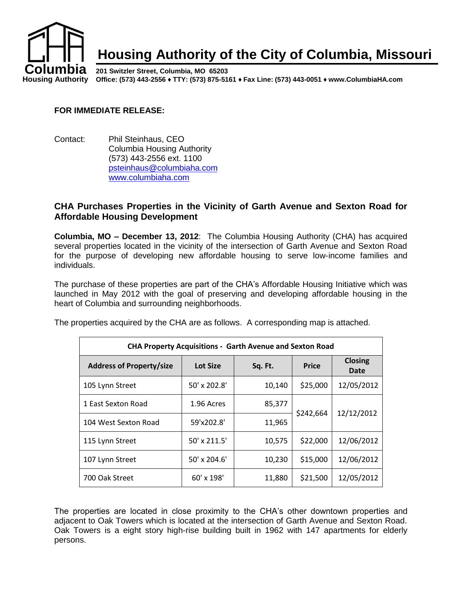

#### **FOR IMMEDIATE RELEASE:**

Contact: Phil Steinhaus, CEO Columbia Housing Authority (573) 443-2556 ext. 1100 [psteinhaus@columbiaha.com](mailto:psteinhaus@columbiaha.com) [www.columbiaha.com](http://www.columbiaha.com/)

### **CHA Purchases Properties in the Vicinity of Garth Avenue and Sexton Road for Affordable Housing Development**

**Columbia, MO – December 13, 2012**: The Columbia Housing Authority (CHA) has acquired several properties located in the vicinity of the intersection of Garth Avenue and Sexton Road for the purpose of developing new affordable housing to serve low-income families and individuals.

The purchase of these properties are part of the CHA's Affordable Housing Initiative which was launched in May 2012 with the goal of preserving and developing affordable housing in the heart of Columbia and surrounding neighborhoods.

The properties acquired by the CHA are as follows. A corresponding map is attached.

| <b>CHA Property Acquisitions - Garth Avenue and Sexton Road</b> |                 |         |              |                        |
|-----------------------------------------------------------------|-----------------|---------|--------------|------------------------|
| <b>Address of Property/size</b>                                 | <b>Lot Size</b> | Sq. Ft. | <b>Price</b> | <b>Closing</b><br>Date |
| 105 Lynn Street                                                 | 50' x 202.8'    | 10,140  | \$25,000     | 12/05/2012             |
| 1 East Sexton Road                                              | 1.96 Acres      | 85,377  | \$242,664    | 12/12/2012             |
| 104 West Sexton Road                                            | 59'x202.8'      | 11,965  |              |                        |
| 115 Lynn Street                                                 | 50' x 211.5'    | 10,575  | \$22,000     | 12/06/2012             |
| 107 Lynn Street                                                 | $50'$ x 204.6'  | 10,230  | \$15,000     | 12/06/2012             |
| 700 Oak Street                                                  | 60' x 198'      | 11,880  | \$21,500     | 12/05/2012             |

The properties are located in close proximity to the CHA's other downtown properties and adjacent to Oak Towers which is located at the intersection of Garth Avenue and Sexton Road. Oak Towers is a eight story high-rise building built in 1962 with 147 apartments for elderly persons.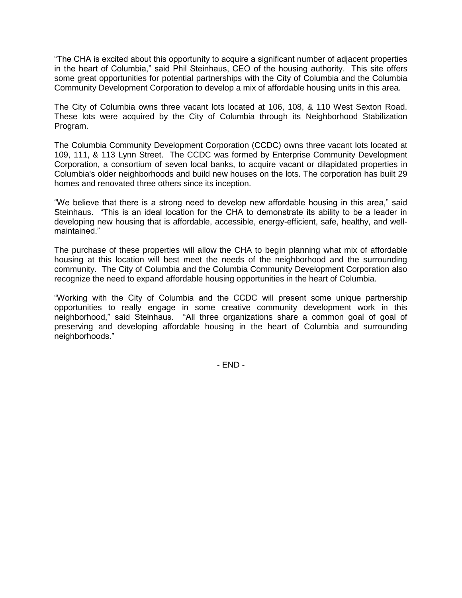"The CHA is excited about this opportunity to acquire a significant number of adjacent properties in the heart of Columbia," said Phil Steinhaus, CEO of the housing authority. This site offers some great opportunities for potential partnerships with the City of Columbia and the Columbia Community Development Corporation to develop a mix of affordable housing units in this area.

The City of Columbia owns three vacant lots located at 106, 108, & 110 West Sexton Road. These lots were acquired by the City of Columbia through its Neighborhood Stabilization Program.

The Columbia Community Development Corporation (CCDC) owns three vacant lots located at 109, 111, & 113 Lynn Street. The CCDC was formed by Enterprise Community Development Corporation, a consortium of seven local banks, to acquire vacant or dilapidated properties in Columbia's older neighborhoods and build new houses on the lots. The corporation has built 29 homes and renovated three others since its inception.

"We believe that there is a strong need to develop new affordable housing in this area," said Steinhaus. "This is an ideal location for the CHA to demonstrate its ability to be a leader in developing new housing that is affordable, accessible, energy-efficient, safe, healthy, and wellmaintained."

The purchase of these properties will allow the CHA to begin planning what mix of affordable housing at this location will best meet the needs of the neighborhood and the surrounding community. The City of Columbia and the Columbia Community Development Corporation also recognize the need to expand affordable housing opportunities in the heart of Columbia.

"Working with the City of Columbia and the CCDC will present some unique partnership opportunities to really engage in some creative community development work in this neighborhood," said Steinhaus. "All three organizations share a common goal of goal of preserving and developing affordable housing in the heart of Columbia and surrounding neighborhoods."

- END -